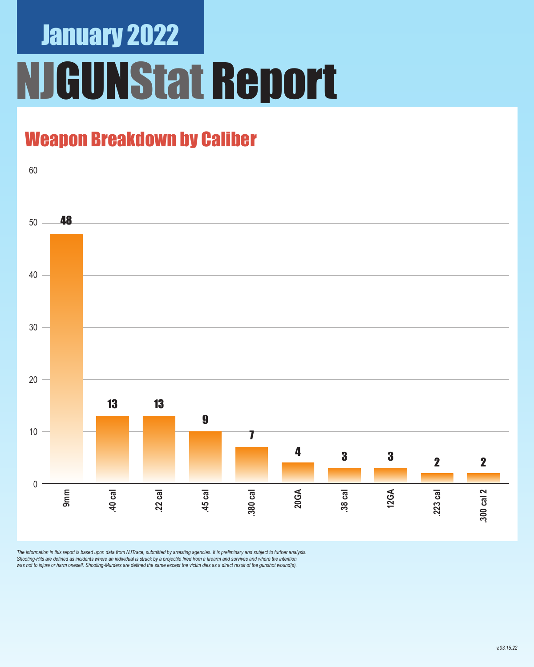# January 2022 NJGUNStat Report

### Weapon Breakdown by Caliber



The information in this report is based upon data from NJTrace, submitted by arresting agencies. It is preliminary and subject to further analysis.<br>Shooting-Hits are defined as incidents where an individual is struck by a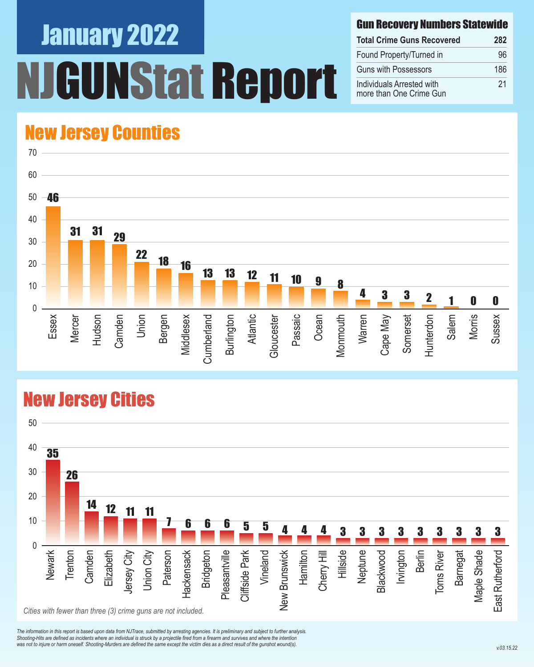# January 2022 NStat Report

#### Gun Recovery Numbers Statewide

| <b>Total Crime Guns Recovered</b>                    | 282 |
|------------------------------------------------------|-----|
| Found Property/Turned in                             | 96  |
| <b>Guns with Possessors</b>                          | 186 |
| Individuals Arrested with<br>more than One Crime Gun | 21  |

#### New Jersey Counties



#### New Jersey Cities



*The information in this report is based upon data from NJTrace, submitted by arresting agencies. It is preliminary and subject to further analysis. Shooting-Hits are defined as incidents where an individual is struck by a projectile fired from a firearm and survives and where the intention*  was not to injure or harm oneself. Shooting-Murders are defined the same except the victim dies as a direct result of the gunshot wound(s).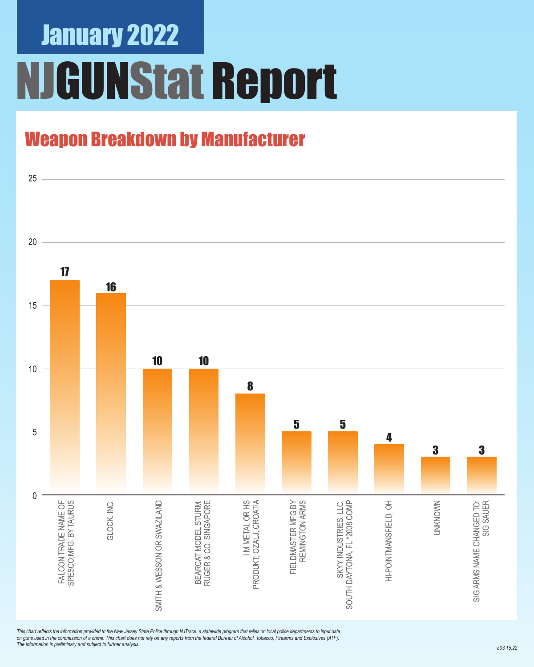## January 2022 NJGUNStat Report

### Weapon Breakdown by Manufacturer



*This chart reflects the information provided to the New Jersey State Police through NJTrace, a statewide program that relies on local police departments to input data on guns used in the commission of a crime. This chart does not rely on any reports from the federal Bureau of Alcohol, Tobacco, Firearms and Explosives (ATF). The information is preliminary and subject to further analysis.*